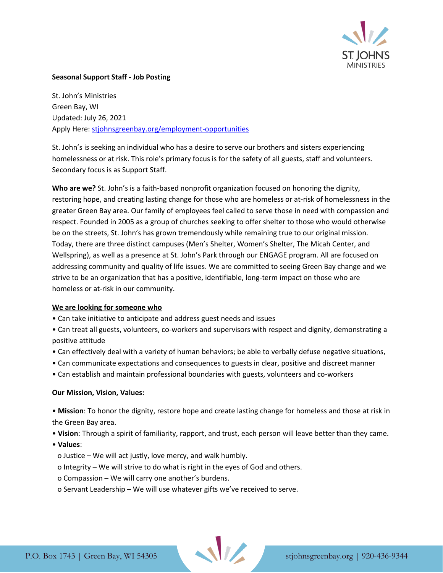

## **Seasonal Support Staff - Job Posting**

St. John's Ministries Green Bay, WI Updated: July 26, 2021 Apply Here: [stjohnsgreenbay.org/employment-opportunities](https://stjohnsgreenbay.org/employment-opportunities/)

St. John's is seeking an individual who has a desire to serve our brothers and sisters experiencing homelessness or at risk. This role's primary focus is for the safety of all guests, staff and volunteers. Secondary focus is as Support Staff.

**Who are we?** St. John's is a faith-based nonprofit organization focused on honoring the dignity, restoring hope, and creating lasting change for those who are homeless or at-risk of homelessness in the greater Green Bay area. Our family of employees feel called to serve those in need with compassion and respect. Founded in 2005 as a group of churches seeking to offer shelter to those who would otherwise be on the streets, St. John's has grown tremendously while remaining true to our original mission. Today, there are three distinct campuses (Men's Shelter, Women's Shelter, The Micah Center, and Wellspring), as well as a presence at St. John's Park through our ENGAGE program. All are focused on addressing community and quality of life issues. We are committed to seeing Green Bay change and we strive to be an organization that has a positive, identifiable, long-term impact on those who are homeless or at-risk in our community.

### **We are looking for someone who**

- Can take initiative to anticipate and address guest needs and issues
- Can treat all guests, volunteers, co-workers and supervisors with respect and dignity, demonstrating a positive attitude
- Can effectively deal with a variety of human behaviors; be able to verbally defuse negative situations,
- Can communicate expectations and consequences to guests in clear, positive and discreet manner
- Can establish and maintain professional boundaries with guests, volunteers and co-workers

### **Our Mission, Vision, Values:**

• **Mission**: To honor the dignity, restore hope and create lasting change for homeless and those at risk in the Green Bay area.

- **Vision**: Through a spirit of familiarity, rapport, and trust, each person will leave better than they came.
- **Values**:
	- o Justice We will act justly, love mercy, and walk humbly.
	- o Integrity We will strive to do what is right in the eyes of God and others.
	- o Compassion We will carry one another's burdens.
	- o Servant Leadership We will use whatever gifts we've received to serve.